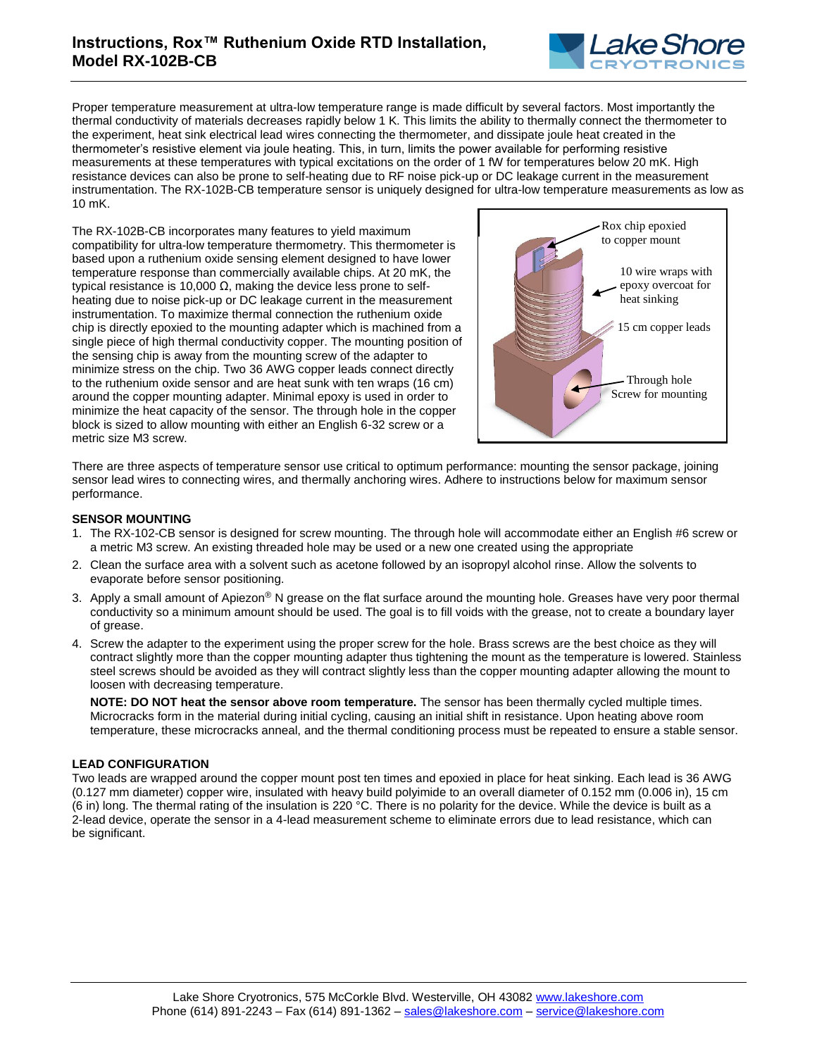# **Instructions, Rox™ Ruthenium Oxide RTD Installation, Model RX-102B-CB**



Proper temperature measurement at ultra-low temperature range is made difficult by several factors. Most importantly the thermal conductivity of materials decreases rapidly below 1 K. This limits the ability to thermally connect the thermometer to the experiment, heat sink electrical lead wires connecting the thermometer, and dissipate joule heat created in the thermometer's resistive element via joule heating. This, in turn, limits the power available for performing resistive measurements at these temperatures with typical excitations on the order of 1 fW for temperatures below 20 mK. High resistance devices can also be prone to self-heating due to RF noise pick-up or DC leakage current in the measurement instrumentation. The RX-102B-CB temperature sensor is uniquely designed for ultra-low temperature measurements as low as 10 mK.

The RX-102B-CB incorporates many features to yield maximum compatibility for ultra-low temperature thermometry. This thermometer is based upon a ruthenium oxide sensing element designed to have lower temperature response than commercially available chips. At 20 mK, the typical resistance is 10,000  $Ω$ , making the device less prone to selfheating due to noise pick-up or DC leakage current in the measurement instrumentation. To maximize thermal connection the ruthenium oxide chip is directly epoxied to the mounting adapter which is machined from a single piece of high thermal conductivity copper. The mounting position of the sensing chip is away from the mounting screw of the adapter to minimize stress on the chip. Two 36 AWG copper leads connect directly to the ruthenium oxide sensor and are heat sunk with ten wraps (16 cm) around the copper mounting adapter. Minimal epoxy is used in order to minimize the heat capacity of the sensor. The through hole in the copper block is sized to allow mounting with either an English 6-32 screw or a metric size M3 screw.



There are three aspects of temperature sensor use critical to optimum performance: mounting the sensor package, joining sensor lead wires to connecting wires, and thermally anchoring wires. Adhere to instructions below for maximum sensor performance.

## **SENSOR MOUNTING**

- 1. The RX-102-CB sensor is designed for screw mounting. The through hole will accommodate either an English #6 screw or a metric M3 screw. An existing threaded hole may be used or a new one created using the appropriate
- 2. Clean the surface area with a solvent such as acetone followed by an isopropyl alcohol rinse. Allow the solvents to evaporate before sensor positioning.
- 3. Apply a small amount of Apiezon® N grease on the flat surface around the mounting hole. Greases have very poor thermal conductivity so a minimum amount should be used. The goal is to fill voids with the grease, not to create a boundary layer of grease.
- 4. Screw the adapter to the experiment using the proper screw for the hole. Brass screws are the best choice as they will contract slightly more than the copper mounting adapter thus tightening the mount as the temperature is lowered. Stainless steel screws should be avoided as they will contract slightly less than the copper mounting adapter allowing the mount to loosen with decreasing temperature.

**NOTE: DO NOT heat the sensor above room temperature.** The sensor has been thermally cycled multiple times. Microcracks form in the material during initial cycling, causing an initial shift in resistance. Upon heating above room temperature, these microcracks anneal, and the thermal conditioning process must be repeated to ensure a stable sensor.

### **LEAD CONFIGURATION**

Two leads are wrapped around the copper mount post ten times and epoxied in place for heat sinking. Each lead is 36 AWG (0.127 mm diameter) copper wire, insulated with heavy build polyimide to an overall diameter of 0.152 mm (0.006 in), 15 cm (6 in) long. The thermal rating of the insulation is 220 °C. There is no polarity for the device. While the device is built as a 2-lead device, operate the sensor in a 4-lead measurement scheme to eliminate errors due to lead resistance, which can be significant.